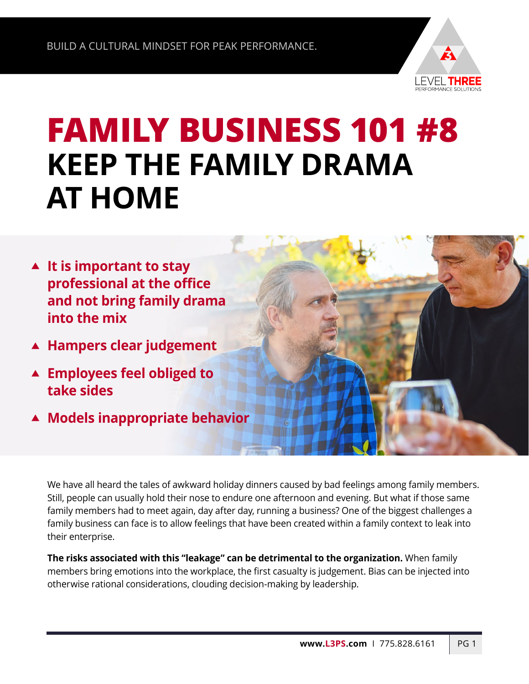

## **FAMILY BUSINESS 101 #8 KEEP THE FAMILY DRAMA AT HOME**

- **It is important to stay professional at the office and not bring family drama into the mix**
- **Hampers clear judgement**
- **Employees feel obliged to take sides**
- **Models inappropriate behavior**

We have all heard the tales of awkward holiday dinners caused by bad feelings among family members. Still, people can usually hold their nose to endure one afternoon and evening. But what if those same family members had to meet again, day after day, running a business? One of the biggest challenges a family business can face is to allow feelings that have been created within a family context to leak into their enterprise.

**The risks associated with this "leakage" can be detrimental to the organization.** When family members bring emotions into the workplace, the first casualty is judgement. Bias can be injected into otherwise rational considerations, clouding decision-making by leadership.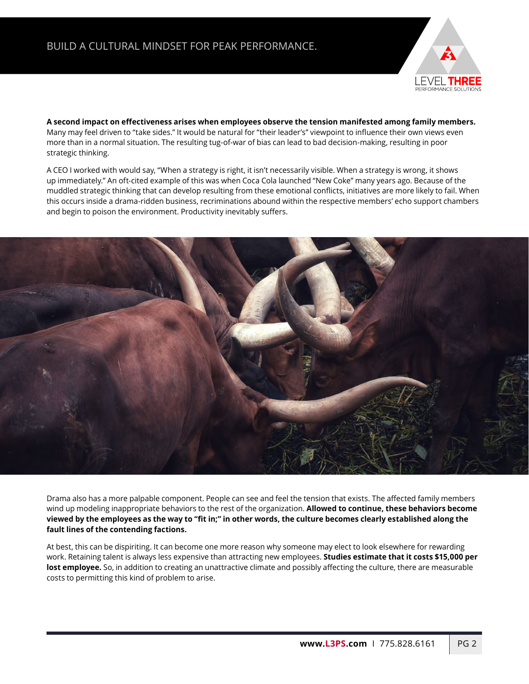

**A second impact on effectiveness arises when employees observe the tension manifested among family members.**  Many may feel driven to "take sides." It would be natural for "their leader's" viewpoint to influence their own views even more than in a normal situation. The resulting tug-of-war of bias can lead to bad decision-making, resulting in poor strategic thinking.

A CEO I worked with would say, "When a strategy is right, it isn't necessarily visible. When a strategy is wrong, it shows up immediately." An oft-cited example of this was when Coca Cola launched "New Coke" many years ago. Because of the muddled strategic thinking that can develop resulting from these emotional conflicts, initiatives are more likely to fail. When this occurs inside a drama-ridden business, recriminations abound within the respective members' echo support chambers and begin to poison the environment. Productivity inevitably suffers.



Drama also has a more palpable component. People can see and feel the tension that exists. The affected family members wind up modeling inappropriate behaviors to the rest of the organization. **Allowed to continue, these behaviors become viewed by the employees as the way to "fit in;" in other words, the culture becomes clearly established along the fault lines of the contending factions.** 

At best, this can be dispiriting. It can become one more reason why someone may elect to look elsewhere for rewarding work. Retaining talent is always less expensive than attracting new employees. **Studies estimate that it costs \$15,000 per lost employee.** So, in addition to creating an unattractive climate and possibly affecting the culture, there are measurable costs to permitting this kind of problem to arise.